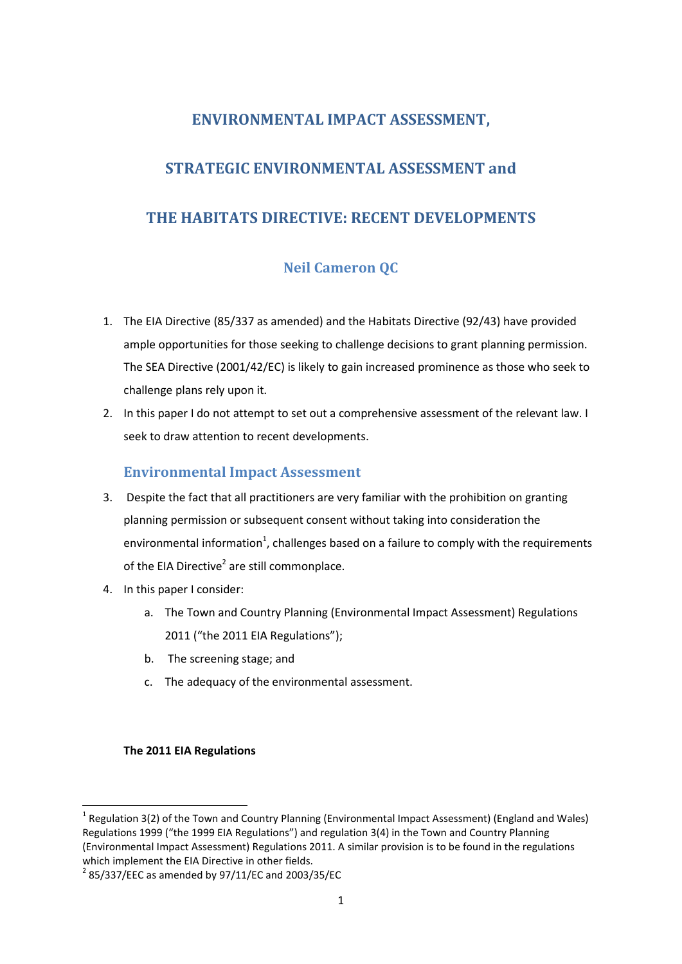# **ENVIRONMENTAL IMPACT ASSESSMENT,**

# **STRATEGIC ENVIRONMENTAL ASSESSMENT and**

# **THE HABITATS DIRECTIVE: RECENT DEVELOPMENTS**

# **Neil Cameron QC**

- 1. The EIA Directive (85/337 as amended) and the Habitats Directive (92/43) have provided ample opportunities for those seeking to challenge decisions to grant planning permission. The SEA Directive (2001/42/EC) is likely to gain increased prominence as those who seek to challenge plans rely upon it.
- 2. In this paper I do not attempt to set out a comprehensive assessment of the relevant law. I seek to draw attention to recent developments.

## **Environmental Impact Assessment**

- 3. Despite the fact that all practitioners are very familiar with the prohibition on granting planning permission or subsequent consent without taking into consideration the environmental information<sup>1</sup>, challenges based on a failure to comply with the requirements of the EIA Directive<sup>2</sup> are still commonplace.
- 4. In this paper I consider:
	- a. The Town and Country Planning (Environmental Impact Assessment) Regulations 2011 ("the 2011 EIA Regulations");
	- b. The screening stage; and
	- c. The adequacy of the environmental assessment.

#### **The 2011 EIA Regulations**

 $\overline{a}$ 

<sup>&</sup>lt;sup>1</sup> Regulation 3(2) of the Town and Country Planning (Environmental Impact Assessment) (England and Wales) Regulations 1999 ("the 1999 EIA Regulations") and regulation 3(4) in the Town and Country Planning (Environmental Impact Assessment) Regulations 2011. A similar provision is to be found in the regulations which implement the EIA Directive in other fields.

 $^{2}$  85/337/EEC as amended by 97/11/EC and 2003/35/EC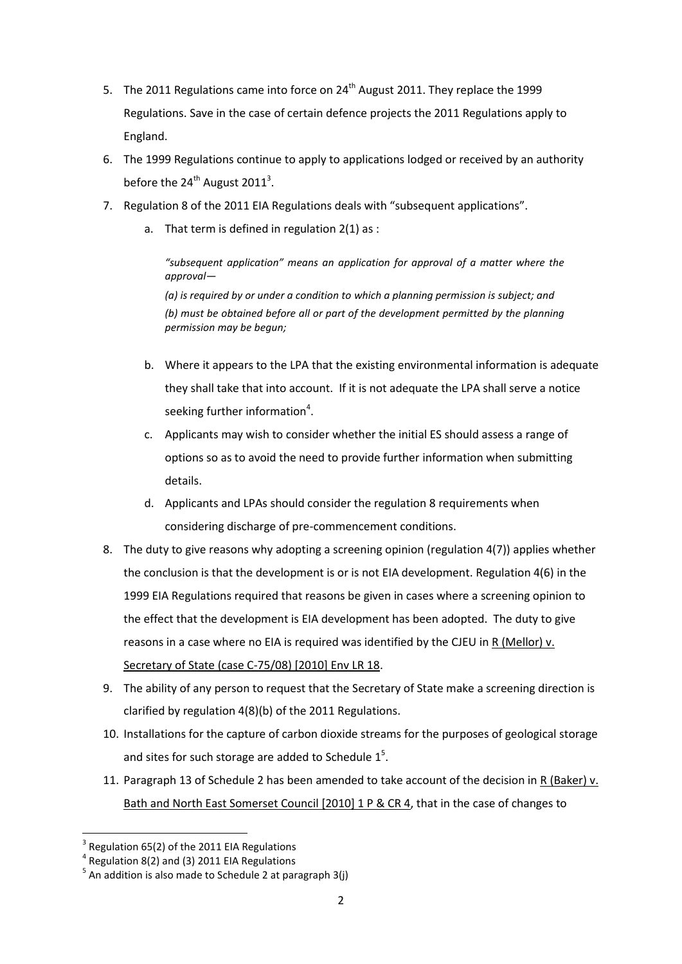- 5. The 2011 Regulations came into force on  $24<sup>th</sup>$  August 2011. They replace the 1999 Regulations. Save in the case of certain defence projects the 2011 Regulations apply to England.
- 6. The 1999 Regulations continue to apply to applications lodged or received by an authority before the  $24<sup>th</sup>$  August 2011<sup>3</sup>.
- 7. Regulation 8 of the 2011 EIA Regulations deals with "subsequent applications".
	- a. That term is defined in regulation 2(1) as :

*"subsequent application" means an application for approval of a matter where the approval— (a) is required by or under a condition to which a planning permission is subject; and (b) must be obtained before all or part of the development permitted by the planning permission may be begun;*

- b. Where it appears to the LPA that the existing environmental information is adequate they shall take that into account. If it is not adequate the LPA shall serve a notice seeking further information<sup>4</sup>.
- c. Applicants may wish to consider whether the initial ES should assess a range of options so as to avoid the need to provide further information when submitting details.
- d. Applicants and LPAs should consider the regulation 8 requirements when considering discharge of pre-commencement conditions.
- 8. The duty to give reasons why adopting a screening opinion (regulation 4(7)) applies whether the conclusion is that the development is or is not EIA development. Regulation 4(6) in the 1999 EIA Regulations required that reasons be given in cases where a screening opinion to the effect that the development is EIA development has been adopted. The duty to give reasons in a case where no EIA is required was identified by the CJEU in  $R$  (Mellor)  $v$ . Secretary of State (case C-75/08) [2010] Env LR 18.
- 9. The ability of any person to request that the Secretary of State make a screening direction is clarified by regulation 4(8)(b) of the 2011 Regulations.
- 10. Installations for the capture of carbon dioxide streams for the purposes of geological storage and sites for such storage are added to Schedule  $1<sup>5</sup>$ .
- 11. Paragraph 13 of Schedule 2 has been amended to take account of the decision in R (Baker) v. Bath and North East Somerset Council [2010] 1 P & CR 4, that in the case of changes to

<sup>3</sup> Regulation 65(2) of the 2011 EIA Regulations

 $4$  Regulation 8(2) and (3) 2011 EIA Regulations

 $<sup>5</sup>$  An addition is also made to Schedule 2 at paragraph 3(j)</sup>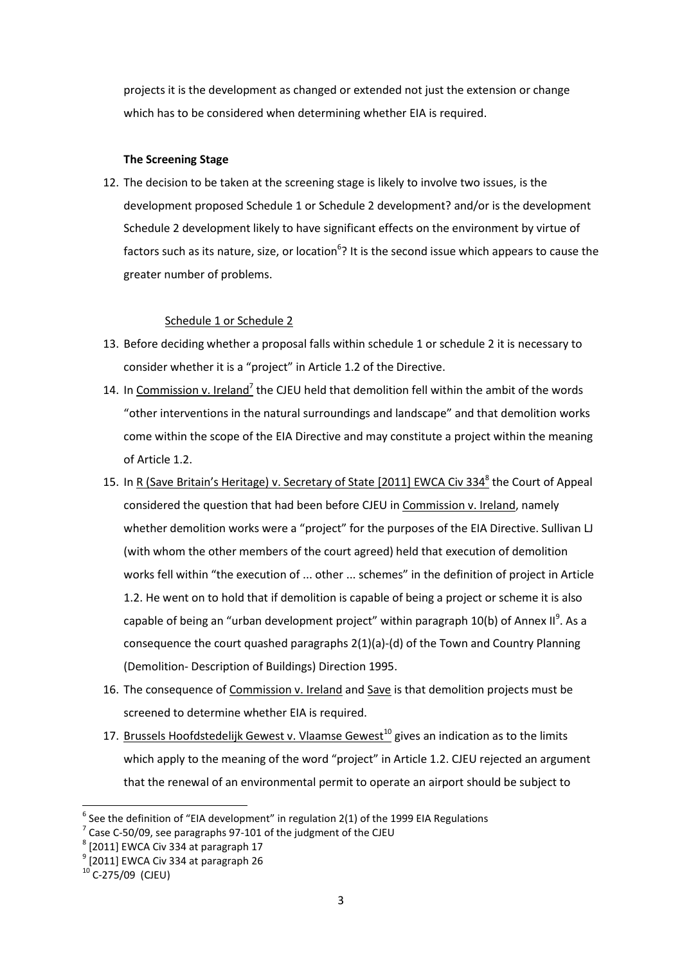projects it is the development as changed or extended not just the extension or change which has to be considered when determining whether EIA is required.

### **The Screening Stage**

12. The decision to be taken at the screening stage is likely to involve two issues, is the development proposed Schedule 1 or Schedule 2 development? and/or is the development Schedule 2 development likely to have significant effects on the environment by virtue of factors such as its nature, size, or location<sup>6</sup>? It is the second issue which appears to cause the greater number of problems.

### Schedule 1 or Schedule 2

- 13. Before deciding whether a proposal falls within schedule 1 or schedule 2 it is necessary to consider whether it is a "project" in Article 1.2 of the Directive.
- 14. In Commission v. Ireland<sup>7</sup> the CJEU held that demolition fell within the ambit of the words "other interventions in the natural surroundings and landscape" and that demolition works come within the scope of the EIA Directive and may constitute a project within the meaning of Article 1.2.
- 15. In R (Save Britain's Heritage) v. Secretary of State [2011] EWCA Civ 334<sup>8</sup> the Court of Appeal considered the question that had been before CJEU in Commission v. Ireland, namely whether demolition works were a "project" for the purposes of the EIA Directive. Sullivan LJ (with whom the other members of the court agreed) held that execution of demolition works fell within "the execution of ... other ... schemes" in the definition of project in Article 1.2. He went on to hold that if demolition is capable of being a project or scheme it is also capable of being an "urban development project" within paragraph 10(b) of Annex II<sup>9</sup>. As a consequence the court quashed paragraphs 2(1)(a)-(d) of the Town and Country Planning (Demolition- Description of Buildings) Direction 1995.
- 16. The consequence of Commission v. Ireland and Save is that demolition projects must be screened to determine whether EIA is required.
- 17. Brussels Hoofdstedelijk Gewest v. Vlaamse Gewest<sup>10</sup> gives an indication as to the limits which apply to the meaning of the word "project" in Article 1.2. CJEU rejected an argument that the renewal of an environmental permit to operate an airport should be subject to

 $\overline{a}$  $^6$  See the definition of "EIA development" in regulation 2(1) of the 1999 EIA Regulations

 $7$  Case C-50/09, see paragraphs 97-101 of the judgment of the CJEU

 $<sup>8</sup>$  [2011] EWCA Civ 334 at paragraph 17</sup>

 $<sup>9</sup>$  [2011] EWCA Civ 334 at paragraph 26</sup>

 $^{10}$  C-275/09 (CJEU)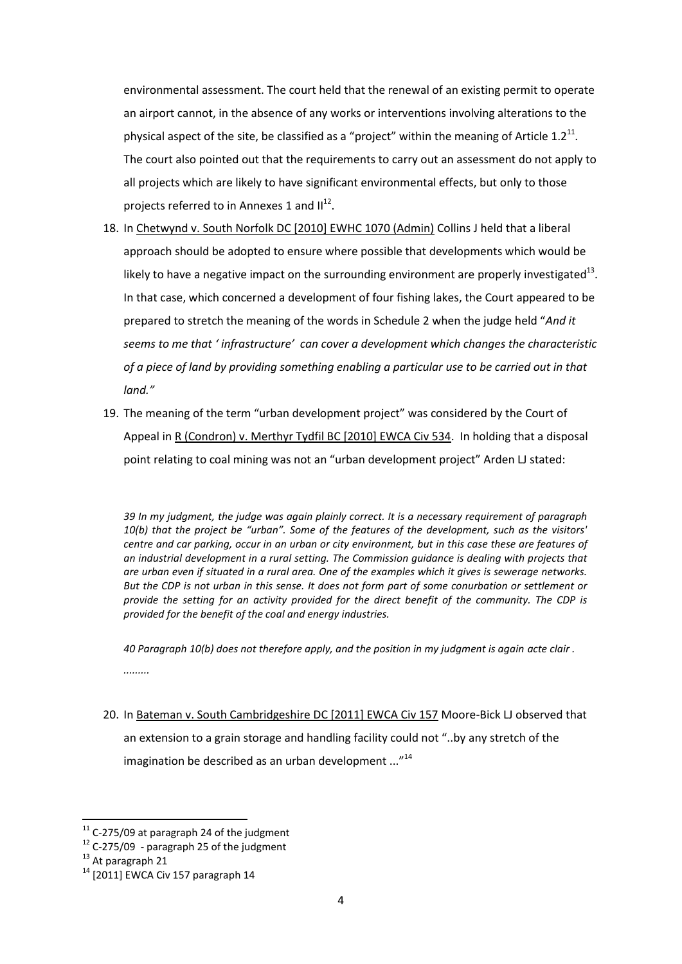environmental assessment. The court held that the renewal of an existing permit to operate an airport cannot, in the absence of any works or interventions involving alterations to the physical aspect of the site, be classified as a "project" within the meaning of Article  $1.2^{11}$ . The court also pointed out that the requirements to carry out an assessment do not apply to all projects which are likely to have significant environmental effects, but only to those projects referred to in Annexes 1 and  $II^{12}$ .

- 18. In Chetwynd v. South Norfolk DC [2010] EWHC 1070 (Admin) Collins J held that a liberal approach should be adopted to ensure where possible that developments which would be likely to have a negative impact on the surrounding environment are properly investigated<sup>13</sup>. In that case, which concerned a development of four fishing lakes, the Court appeared to be prepared to stretch the meaning of the words in Schedule 2 when the judge held "*And it seems to me that ' infrastructure' can cover a development which changes the characteristic of a piece of land by providing something enabling a particular use to be carried out in that land."*
- 19. The meaning of the term "urban development project" was considered by the Court of Appeal in R (Condron) v. Merthyr Tydfil BC [2010] EWCA Civ 534. In holding that a disposal point relating to coal mining was not an "urban development project" Arden LJ stated:

*39 In my judgment, the judge was again plainly correct. It is a necessary requirement of paragraph 10(b) that the project be "urban". Some of the features of the development, such as the visitors' centre and car parking, occur in an urban or city environment, but in this case these are features of an industrial development in a rural setting. The Commission guidance is dealing with projects that are urban even if situated in a rural area. One of the examples which it gives is sewerage networks. But the CDP is not urban in this sense. It does not form part of some conurbation or settlement or provide the setting for an activity provided for the direct benefit of the community. The CDP is provided for the benefit of the coal and energy industries.* 

*40 Paragraph 10(b) does not therefore apply, and the position in my judgment is again acte clair .* 

*.........*

20. In Bateman v. South Cambridgeshire DC [2011] EWCA Civ 157 Moore-Bick LJ observed that an extension to a grain storage and handling facility could not "..by any stretch of the imagination be described as an urban development ..."<sup>14</sup>

 $11$  C-275/09 at paragraph 24 of the judgment

 $12$  C-275/09 - paragraph 25 of the judgment

<sup>&</sup>lt;sup>13</sup> At paragraph 21

 $14$  [2011] EWCA Civ 157 paragraph 14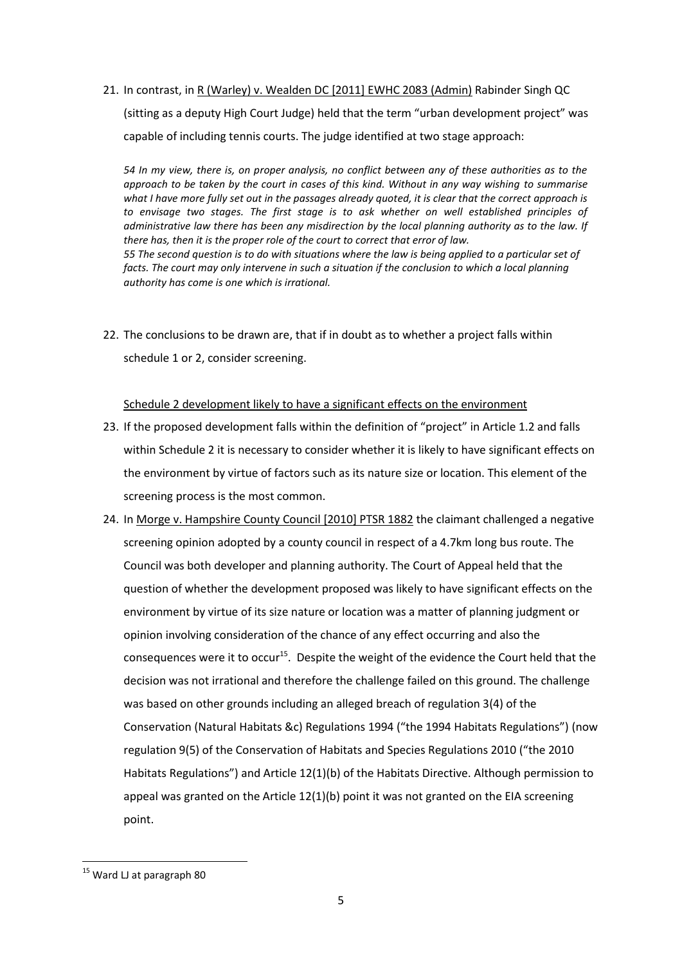21. In contrast, in R (Warley) v. Wealden DC [2011] EWHC 2083 (Admin) Rabinder Singh QC (sitting as a deputy High Court Judge) held that the term "urban development project" was capable of including tennis courts. The judge identified at two stage approach:

*54 In my view, there is, on proper analysis, no conflict between any of these authorities as to the approach to be taken by the court in cases of this kind. Without in any way wishing to summarise what I have more fully set out in the passages already quoted, it is clear that the correct approach is to envisage two stages. The first stage is to ask whether on well established principles of administrative law there has been any misdirection by the local planning authority as to the law. If there has, then it is the proper role of the court to correct that error of law. 55 The second question is to do with situations where the law is being applied to a particular set of*  facts. The court may only intervene in such a situation if the conclusion to which a local planning *authority has come is one which is irrational.*

22. The conclusions to be drawn are, that if in doubt as to whether a project falls within schedule 1 or 2, consider screening.

Schedule 2 development likely to have a significant effects on the environment

- 23. If the proposed development falls within the definition of "project" in Article 1.2 and falls within Schedule 2 it is necessary to consider whether it is likely to have significant effects on the environment by virtue of factors such as its nature size or location. This element of the screening process is the most common.
- 24. In Morge v. Hampshire County Council [2010] PTSR 1882 the claimant challenged a negative screening opinion adopted by a county council in respect of a 4.7km long bus route. The Council was both developer and planning authority. The Court of Appeal held that the question of whether the development proposed was likely to have significant effects on the environment by virtue of its size nature or location was a matter of planning judgment or opinion involving consideration of the chance of any effect occurring and also the consequences were it to occur<sup>15</sup>. Despite the weight of the evidence the Court held that the decision was not irrational and therefore the challenge failed on this ground. The challenge was based on other grounds including an alleged breach of regulation 3(4) of the Conservation (Natural Habitats &c) Regulations 1994 ("the 1994 Habitats Regulations") (now regulation 9(5) of the Conservation of Habitats and Species Regulations 2010 ("the 2010 Habitats Regulations") and Article 12(1)(b) of the Habitats Directive. Although permission to appeal was granted on the Article 12(1)(b) point it was not granted on the EIA screening point.

**<sup>.</sup>** <sup>15</sup> Ward LJ at paragraph 80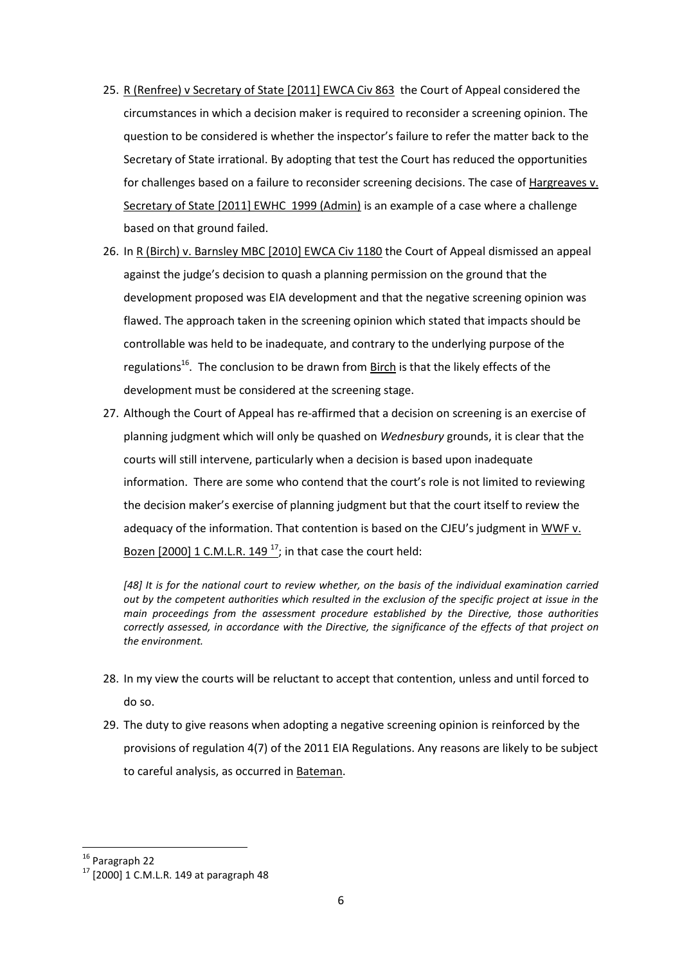- 25. R (Renfree) v Secretary of State [2011] EWCA Civ 863 the Court of Appeal considered the circumstances in which a decision maker is required to reconsider a screening opinion. The question to be considered is whether the inspector's failure to refer the matter back to the Secretary of State irrational. By adopting that test the Court has reduced the opportunities for challenges based on a failure to reconsider screening decisions. The case of Hargreaves v. Secretary of State [2011] EWHC 1999 (Admin) is an example of a case where a challenge based on that ground failed.
- 26. In R (Birch) v. Barnsley MBC [2010] EWCA Civ 1180 the Court of Appeal dismissed an appeal against the judge's decision to quash a planning permission on the ground that the development proposed was EIA development and that the negative screening opinion was flawed. The approach taken in the screening opinion which stated that impacts should be controllable was held to be inadequate, and contrary to the underlying purpose of the regulations<sup>16</sup>. The conclusion to be drawn from Birch is that the likely effects of the development must be considered at the screening stage.
- 27. Although the Court of Appeal has re-affirmed that a decision on screening is an exercise of planning judgment which will only be quashed on *Wednesbury* grounds, it is clear that the courts will still intervene, particularly when a decision is based upon inadequate information. There are some who contend that the court's role is not limited to reviewing the decision maker's exercise of planning judgment but that the court itself to review the adequacy of the information. That contention is based on the CJEU's judgment in WWF v. Bozen [2000] 1 C.M.L.R. 149 $^{17}$ ; in that case the court held:

*[48] It is for the national court to review whether, on the basis of the individual examination carried out by the competent authorities which resulted in the exclusion of the specific project at issue in the main proceedings from the assessment procedure established by the Directive, those authorities correctly assessed, in accordance with the Directive, the significance of the effects of that project on the environment.*

- 28. In my view the courts will be reluctant to accept that contention, unless and until forced to do so.
- 29. The duty to give reasons when adopting a negative screening opinion is reinforced by the provisions of regulation 4(7) of the 2011 EIA Regulations. Any reasons are likely to be subject to careful analysis, as occurred in Bateman.

<sup>&</sup>lt;sup>16</sup> Paragraph 22

 $17$  [2000] 1 C.M.L.R. 149 at paragraph 48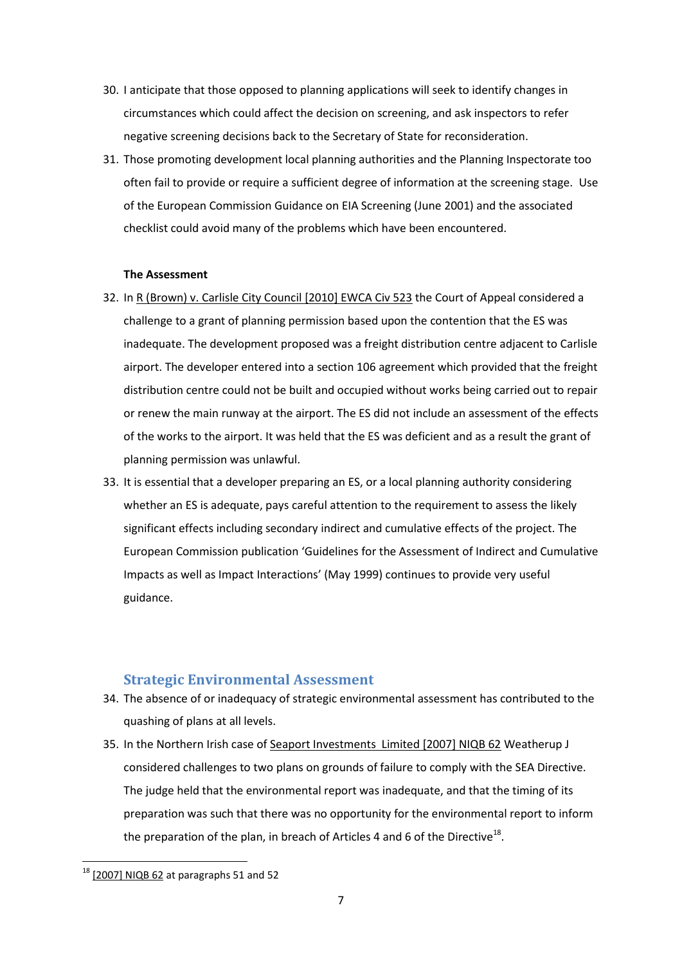- 30. I anticipate that those opposed to planning applications will seek to identify changes in circumstances which could affect the decision on screening, and ask inspectors to refer negative screening decisions back to the Secretary of State for reconsideration.
- 31. Those promoting development local planning authorities and the Planning Inspectorate too often fail to provide or require a sufficient degree of information at the screening stage. Use of the European Commission Guidance on EIA Screening (June 2001) and the associated checklist could avoid many of the problems which have been encountered.

#### **The Assessment**

- 32. In R (Brown) v. Carlisle City Council [2010] EWCA Civ 523 the Court of Appeal considered a challenge to a grant of planning permission based upon the contention that the ES was inadequate. The development proposed was a freight distribution centre adjacent to Carlisle airport. The developer entered into a section 106 agreement which provided that the freight distribution centre could not be built and occupied without works being carried out to repair or renew the main runway at the airport. The ES did not include an assessment of the effects of the works to the airport. It was held that the ES was deficient and as a result the grant of planning permission was unlawful.
- 33. It is essential that a developer preparing an ES, or a local planning authority considering whether an ES is adequate, pays careful attention to the requirement to assess the likely significant effects including secondary indirect and cumulative effects of the project. The European Commission publication 'Guidelines for the Assessment of Indirect and Cumulative Impacts as well as Impact Interactions' (May 1999) continues to provide very useful guidance.

### **Strategic Environmental Assessment**

- 34. The absence of or inadequacy of strategic environmental assessment has contributed to the quashing of plans at all levels.
- 35. In the Northern Irish case of Seaport Investments Limited [2007] NIQB 62 Weatherup J considered challenges to two plans on grounds of failure to comply with the SEA Directive. The judge held that the environmental report was inadequate, and that the timing of its preparation was such that there was no opportunity for the environmental report to inform the preparation of the plan, in breach of Articles 4 and 6 of the Directive<sup>18</sup>.

 $18$  [2007] NIQB 62 at paragraphs 51 and 52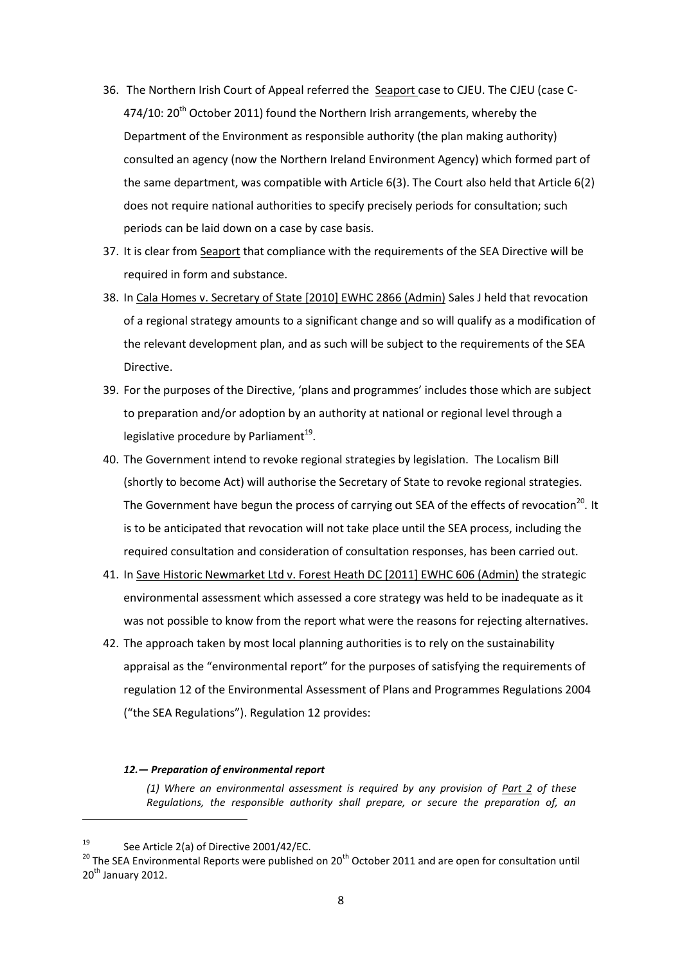- 36. The Northern Irish Court of Appeal referred the Seaport case to CJEU. The CJEU (case C-474/10:  $20^{th}$  October 2011) found the Northern Irish arrangements, whereby the Department of the Environment as responsible authority (the plan making authority) consulted an agency (now the Northern Ireland Environment Agency) which formed part of the same department, was compatible with Article 6(3). The Court also held that Article 6(2) does not require national authorities to specify precisely periods for consultation; such periods can be laid down on a case by case basis.
- 37. It is clear from Seaport that compliance with the requirements of the SEA Directive will be required in form and substance.
- 38. In Cala Homes v. Secretary of State [2010] EWHC 2866 (Admin) Sales J held that revocation of a regional strategy amounts to a significant change and so will qualify as a modification of the relevant development plan, and as such will be subject to the requirements of the SEA Directive.
- 39. For the purposes of the Directive, 'plans and programmes' includes those which are subject to preparation and/or adoption by an authority at national or regional level through a legislative procedure by Parliament $^{19}$ .
- 40. The Government intend to revoke regional strategies by legislation. The Localism Bill (shortly to become Act) will authorise the Secretary of State to revoke regional strategies. The Government have begun the process of carrying out SEA of the effects of revocation<sup>20</sup>. It is to be anticipated that revocation will not take place until the SEA process, including the required consultation and consideration of consultation responses, has been carried out.
- 41. In Save Historic Newmarket Ltd v. Forest Heath DC [2011] EWHC 606 (Admin) the strategic environmental assessment which assessed a core strategy was held to be inadequate as it was not possible to know from the report what were the reasons for rejecting alternatives.
- 42. The approach taken by most local planning authorities is to rely on the sustainability appraisal as the "environmental report" for the purposes of satisfying the requirements of regulation 12 of the Environmental Assessment of Plans and Programmes Regulations 2004 ("the SEA Regulations"). Regulation 12 provides:

#### *12.— Preparation of environmental report*

*(1) Where an environmental assessment is required by any provision of [Part 2](http://login.westlaw.co.uk/maf/wluk/ext/app/document?crumb-action=reset&docguid=I0A9ADA30E45311DA8D70A0E70A78ED65) of these Regulations, the responsible authority shall prepare, or secure the preparation of, an* 

<sup>19</sup> See Article 2(a) of Directive 2001/42/EC.

<sup>&</sup>lt;sup>20</sup> The SEA Environmental Reports were published on 20<sup>th</sup> October 2011 and are open for consultation until  $20^{th}$  January 2012.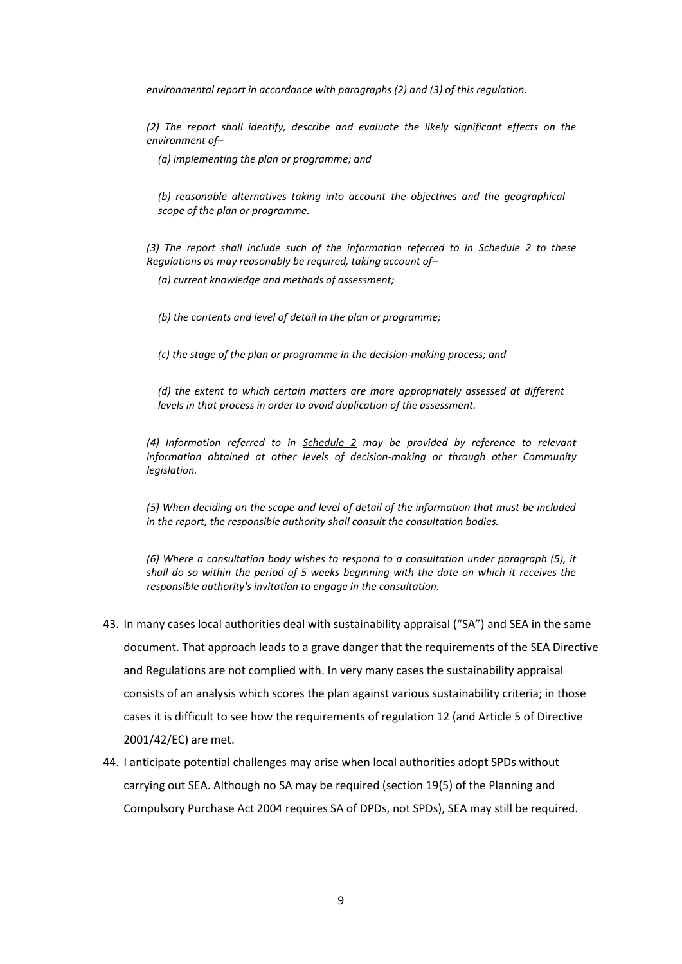*environmental report in accordance with paragraphs (2) and (3) of this regulation.*

*(2) The report shall identify, describe and evaluate the likely significant effects on the environment of–*

*(a) implementing the plan or programme; and*

*(b) reasonable alternatives taking into account the objectives and the geographical scope of the plan or programme.*

*(3) The report shall include such of the information referred to in [Schedule 2](http://login.westlaw.co.uk/maf/wluk/ext/app/document?crumb-action=reset&docguid=I0AA20620E45311DA8D70A0E70A78ED65) to these Regulations as may reasonably be required, taking account of–*

*(a) current knowledge and methods of assessment;*

*(b) the contents and level of detail in the plan or programme;*

*(c) the stage of the plan or programme in the decision-making process; and*

*(d) the extent to which certain matters are more appropriately assessed at different levels in that process in order to avoid duplication of the assessment.*

*(4) Information referred to in [Schedule 2](http://login.westlaw.co.uk/maf/wluk/ext/app/document?crumb-action=reset&docguid=I0AA20620E45311DA8D70A0E70A78ED65) may be provided by reference to relevant information obtained at other levels of decision-making or through other Community legislation.*

*(5) When deciding on the scope and level of detail of the information that must be included in the report, the responsible authority shall consult the consultation bodies.*

*(6) Where a consultation body wishes to respond to a consultation under paragraph (5), it shall do so within the period of 5 weeks beginning with the date on which it receives the responsible authority's invitation to engage in the consultation.*

- 43. In many cases local authorities deal with sustainability appraisal ("SA") and SEA in the same document. That approach leads to a grave danger that the requirements of the SEA Directive and Regulations are not complied with. In very many cases the sustainability appraisal consists of an analysis which scores the plan against various sustainability criteria; in those cases it is difficult to see how the requirements of regulation 12 (and Article 5 of Directive 2001/42/EC) are met.
- 44. I anticipate potential challenges may arise when local authorities adopt SPDs without carrying out SEA. Although no SA may be required (section 19(5) of the Planning and Compulsory Purchase Act 2004 requires SA of DPDs, not SPDs), SEA may still be required.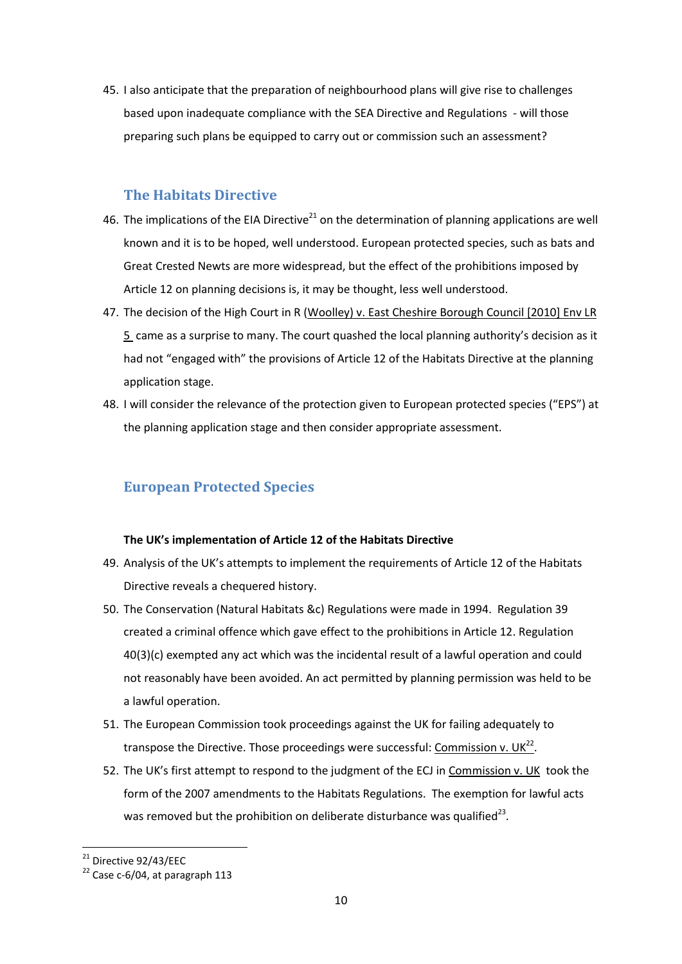45. I also anticipate that the preparation of neighbourhood plans will give rise to challenges based upon inadequate compliance with the SEA Directive and Regulations - will those preparing such plans be equipped to carry out or commission such an assessment?

## **The Habitats Directive**

- 46. The implications of the EIA Directive<sup>21</sup> on the determination of planning applications are well known and it is to be hoped, well understood. European protected species, such as bats and Great Crested Newts are more widespread, but the effect of the prohibitions imposed by Article 12 on planning decisions is, it may be thought, less well understood.
- 47. The decision of the High Court in R (Woolley) v. East Cheshire Borough Council [2010] Env LR 5 came as a surprise to many. The court quashed the local planning authority's decision as it had not "engaged with" the provisions of Article 12 of the Habitats Directive at the planning application stage.
- 48. I will consider the relevance of the protection given to European protected species ("EPS") at the planning application stage and then consider appropriate assessment.

# **European Protected Species**

#### **The UK's implementation of Article 12 of the Habitats Directive**

- 49. Analysis of the UK's attempts to implement the requirements of Article 12 of the Habitats Directive reveals a chequered history.
- 50. The Conservation (Natural Habitats &c) Regulations were made in 1994. Regulation 39 created a criminal offence which gave effect to the prohibitions in Article 12. Regulation 40(3)(c) exempted any act which was the incidental result of a lawful operation and could not reasonably have been avoided. An act permitted by planning permission was held to be a lawful operation.
- 51. The European Commission took proceedings against the UK for failing adequately to transpose the Directive. Those proceedings were successful: Commission v. UK<sup>22</sup>.
- 52. The UK's first attempt to respond to the judgment of the ECJ in Commission v. UK took the form of the 2007 amendments to the Habitats Regulations. The exemption for lawful acts was removed but the prohibition on deliberate disturbance was qualified<sup>23</sup>.

 $21$  Directive 92/43/EEC

 $22$  Case c-6/04, at paragraph 113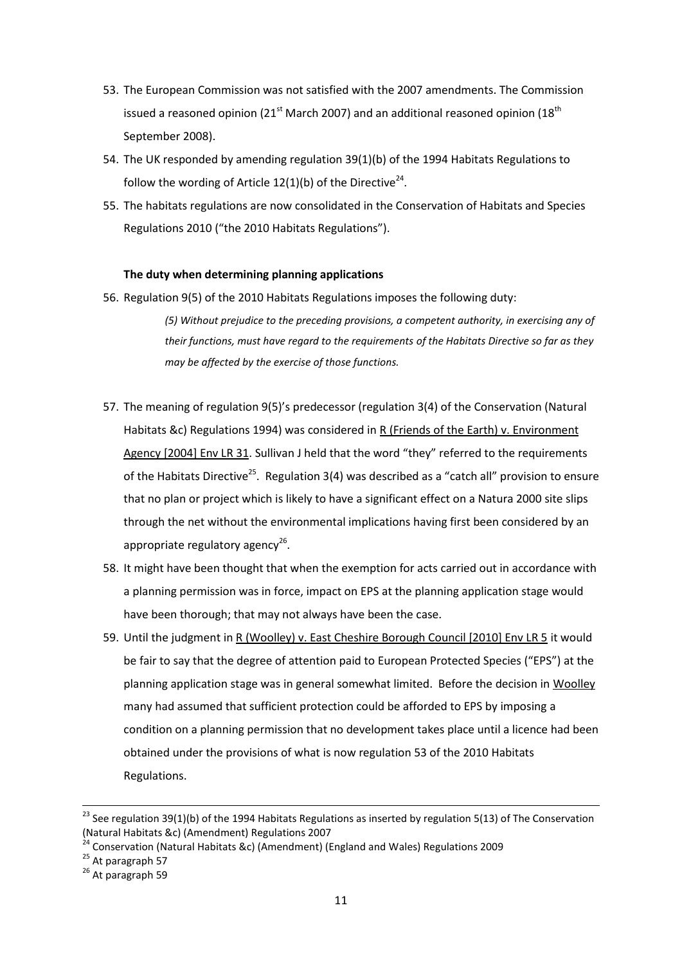- 53. The European Commission was not satisfied with the 2007 amendments. The Commission issued a reasoned opinion (21<sup>st</sup> March 2007) and an additional reasoned opinion (18<sup>th</sup> September 2008).
- 54. The UK responded by amending regulation 39(1)(b) of the 1994 Habitats Regulations to follow the wording of Article  $12(1)(b)$  of the Directive<sup>24</sup>.
- 55. The habitats regulations are now consolidated in the Conservation of Habitats and Species Regulations 2010 ("the 2010 Habitats Regulations").

### **The duty when determining planning applications**

- 56. Regulation 9(5) of the 2010 Habitats Regulations imposes the following duty: *(5) Without prejudice to the preceding provisions, a competent authority, in exercising any of their functions, must have regard to the requirements of the Habitats Directive so far as they may be affected by the exercise of those functions.*
- 57. The meaning of regulation 9(5)'s predecessor (regulation 3(4) of the Conservation (Natural Habitats &c) Regulations 1994) was considered in  $R$  (Friends of the Earth) v. Environment Agency [2004] Env LR 31. Sullivan J held that the word "they" referred to the requirements of the Habitats Directive<sup>25</sup>. Regulation 3(4) was described as a "catch all" provision to ensure that no plan or project which is likely to have a significant effect on a Natura 2000 site slips through the net without the environmental implications having first been considered by an appropriate regulatory agency<sup>26</sup>.
- 58. It might have been thought that when the exemption for acts carried out in accordance with a planning permission was in force, impact on EPS at the planning application stage would have been thorough; that may not always have been the case.
- 59. Until the judgment in R (Woolley) v. East Cheshire Borough Council [2010] Env LR 5 it would be fair to say that the degree of attention paid to European Protected Species ("EPS") at the planning application stage was in general somewhat limited. Before the decision in Woolley many had assumed that sufficient protection could be afforded to EPS by imposing a condition on a planning permission that no development takes place until a licence had been obtained under the provisions of what is now regulation 53 of the 2010 Habitats Regulations.

 $\overline{a}$ 

<sup>&</sup>lt;sup>23</sup> See regulation 39(1)(b) of the 1994 Habitats Regulations as inserted by regulation 5(13) of The Conservation (Natural Habitats &c) (Amendment) Regulations 2007

<sup>&</sup>lt;sup>24</sup> Conservation (Natural Habitats &c) (Amendment) (England and Wales) Regulations 2009

 $25$  At paragraph 57

<sup>&</sup>lt;sup>26</sup> At paragraph 59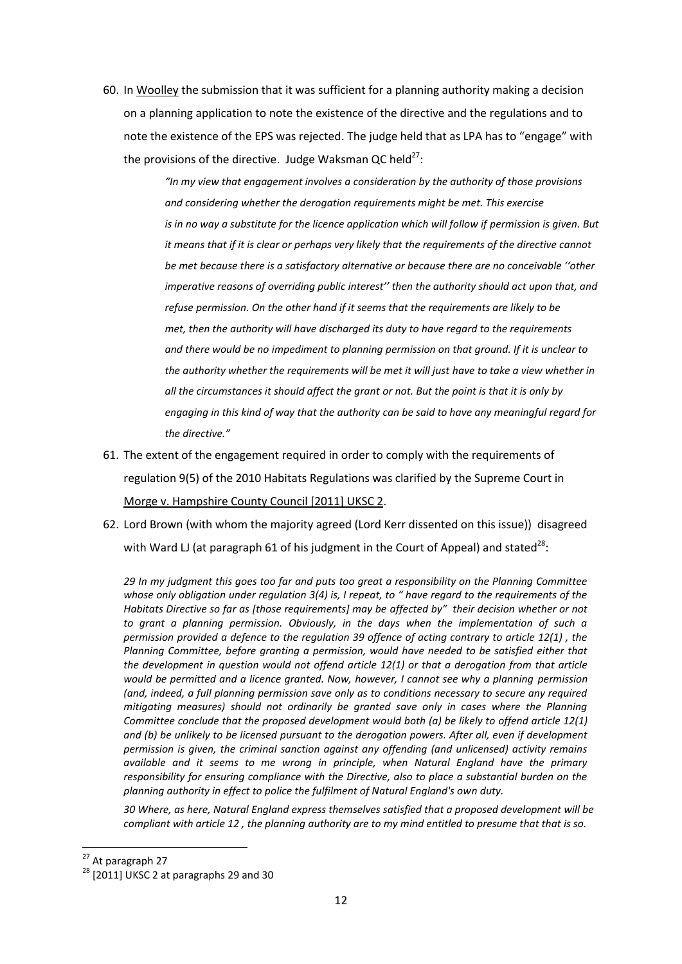60. In Woolley the submission that it was sufficient for a planning authority making a decision on a planning application to note the existence of the directive and the regulations and to note the existence of the EPS was rejected. The judge held that as LPA has to "engage" with the provisions of the directive. Judge Waksman QC held<sup>27</sup>:

> *"In my view that engagement involves a consideration by the authority of those provisions and considering whether the derogation requirements might be met. This exercise* is in no way a substitute for the licence application which will follow if permission is given. But *it means that if it is clear or perhaps very likely that the requirements of the directive cannot be met because there is a satisfactory alternative or because there are no conceivable ''other imperative reasons of overriding public interest'' then the authority should act upon that, and refuse permission. On the other hand if it seems that the requirements are likely to be met, then the authority will have discharged its duty to have regard to the requirements and there would be no impediment to planning permission on that ground. If it is unclear to the authority whether the requirements will be met it will just have to take a view whether in all the circumstances it should affect the grant or not. But the point is that it is only by engaging in this kind of way that the authority can be said to have any meaningful regard for the directive."*

- 61. The extent of the engagement required in order to comply with the requirements of regulation 9(5) of the 2010 Habitats Regulations was clarified by the Supreme Court in Morge v. Hampshire County Council [2011] UKSC 2.
- 62. Lord Brown (with whom the majority agreed (Lord Kerr dissented on this issue)) disagreed with Ward LJ (at paragraph 61 of his judgment in the Court of Appeal) and stated<sup>28</sup>:

*29 In my judgment this goes too far and puts too great a responsibility on the Planning Committee whose only obligation under regulation 3(4) is, I repeat, to " have regard to the requirements of the Habitats Directive so far as [those requirements] may be affected by" their decision whether or not to grant a planning permission. Obviously, in the days when the implementation of such a permission provided a defence to the regulation 39 offence of acting contrary to article 12(1) , the Planning Committee, before granting a permission, would have needed to be satisfied either that the development in question would not offend article 12(1) or that a derogation from that article would be permitted and a licence granted. Now, however, I cannot see why a planning permission (and, indeed, a full planning permission save only as to conditions necessary to secure any required mitigating measures) should not ordinarily be granted save only in cases where the Planning Committee conclude that the proposed development would both (a) be likely to offend article 12(1) and (b) be unlikely to be licensed pursuant to the derogation powers. After all, even if development permission is given, the criminal sanction against any offending (and unlicensed) activity remains available and it seems to me wrong in principle, when Natural England have the primary responsibility for ensuring compliance with the Directive, also to place a substantial burden on the planning authority in effect to police the fulfilment of Natural England's own duty.* 

*30 Where, as here, Natural England express themselves satisfied that a proposed development will be compliant with article 12 , the planning authority are to my mind entitled to presume that that is so.*

<sup>&</sup>lt;sup>27</sup> At paragraph 27

<sup>&</sup>lt;sup>28</sup> [2011] UKSC 2 at paragraphs 29 and 30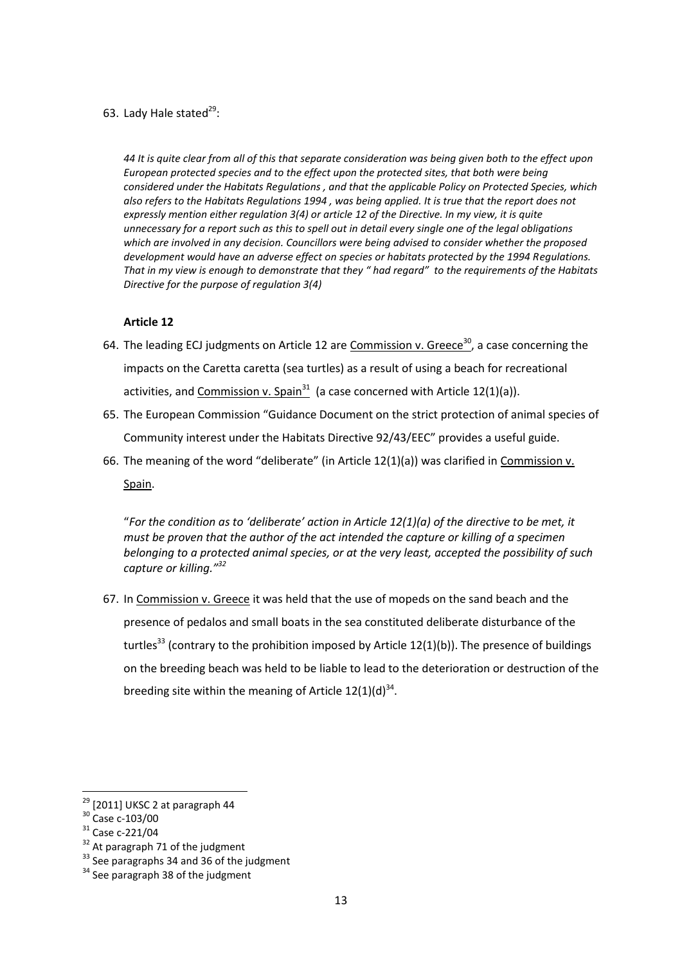63. Lady Hale stated<sup>29</sup>:

*44 It is quite clear from all of this that separate consideration was being given both to the effect upon European protected species and to the effect upon the protected sites, that both were being considered under the Habitats Regulations , and that the applicable Policy on Protected Species, which also refers to the Habitats Regulations 1994 , was being applied. It is true that the report does not expressly mention either regulation 3(4) or article 12 of the Directive. In my view, it is quite unnecessary for a report such as this to spell out in detail every single one of the legal obligations which are involved in any decision. Councillors were being advised to consider whether the proposed development would have an adverse effect on species or habitats protected by the 1994 Regulations. That in my view is enough to demonstrate that they " had regard" to the requirements of the Habitats Directive for the purpose of regulation 3(4)*

### **Article 12**

- 64. The leading ECJ judgments on Article 12 are Commission v. Greece<sup>30</sup>, a case concerning the impacts on the Caretta caretta (sea turtles) as a result of using a beach for recreational activities, and Commission v. Spain<sup>31</sup> (a case concerned with Article 12(1)(a)).
- 65. The European Commission "Guidance Document on the strict protection of animal species of Community interest under the Habitats Directive 92/43/EEC" provides a useful guide.
- 66. The meaning of the word "deliberate" (in Article 12(1)(a)) was clarified in Commission v. Spain.

"*For the condition as to 'deliberate' action in Article 12(1)(a) of the directive to be met, it must be proven that the author of the act intended the capture or killing of a specimen belonging to a protected animal species, or at the very least, accepted the possibility of such capture or killing."<sup>32</sup>*

67. In Commission v. Greece it was held that the use of mopeds on the sand beach and the presence of pedalos and small boats in the sea constituted deliberate disturbance of the turtles<sup>33</sup> (contrary to the prohibition imposed by Article  $12(1)(b)$ ). The presence of buildings on the breeding beach was held to be liable to lead to the deterioration or destruction of the breeding site within the meaning of Article  $12(1)(d)^{34}$ .

**.** 

<sup>32</sup> At paragraph 71 of the judgment

 $29$  [2011] UKSC 2 at paragraph 44

<sup>30</sup> Case c-103/00

<sup>31</sup> Case c-221/04

<sup>&</sup>lt;sup>33</sup> See paragraphs 34 and 36 of the judgment

 $34$  See paragraph 38 of the judgment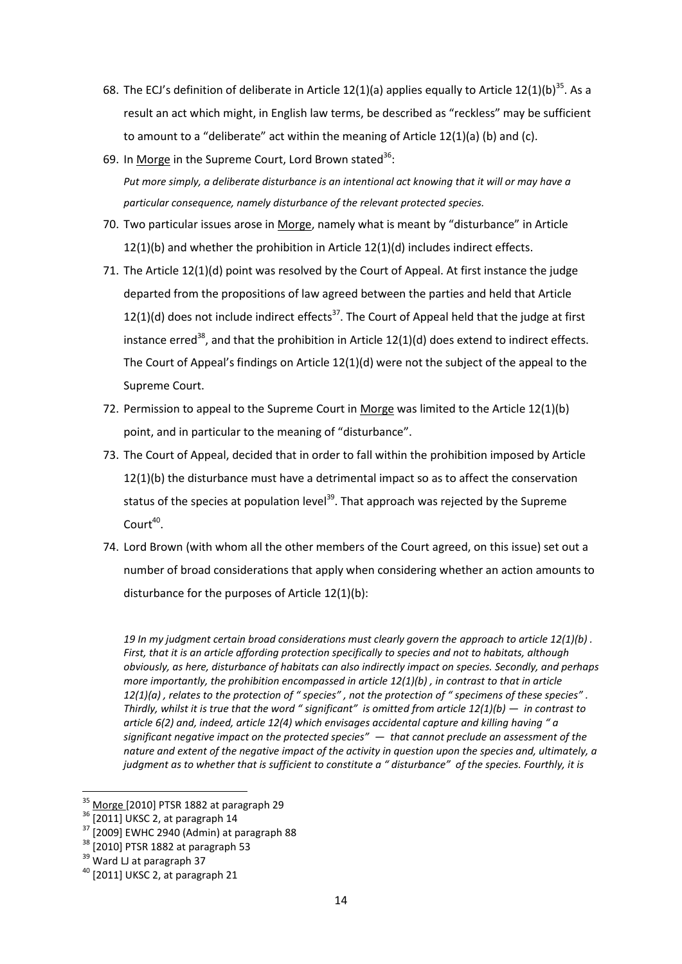- 68. The ECJ's definition of deliberate in Article 12(1)(a) applies equally to Article 12(1)(b)<sup>35</sup>. As a result an act which might, in English law terms, be described as "reckless" may be sufficient to amount to a "deliberate" act within the meaning of Article 12(1)(a) (b) and (c).
- 69. In Morge in the Supreme Court, Lord Brown stated<sup>36</sup>: *Put more simply, a deliberate disturbance is an intentional act knowing that it will or may have a particular consequence, namely disturbance of the relevant protected species.*
- 70. Two particular issues arose in Morge, namely what is meant by "disturbance" in Article  $12(1)(b)$  and whether the prohibition in Article  $12(1)(d)$  includes indirect effects.
- 71. The Article 12(1)(d) point was resolved by the Court of Appeal. At first instance the judge departed from the propositions of law agreed between the parties and held that Article  $12(1)(d)$  does not include indirect effects<sup>37</sup>. The Court of Appeal held that the judge at first instance erred<sup>38</sup>, and that the prohibition in Article  $12(1)(d)$  does extend to indirect effects. The Court of Appeal's findings on Article 12(1)(d) were not the subject of the appeal to the Supreme Court.
- 72. Permission to appeal to the Supreme Court in Morge was limited to the Article 12(1)(b) point, and in particular to the meaning of "disturbance".
- 73. The Court of Appeal, decided that in order to fall within the prohibition imposed by Article 12(1)(b) the disturbance must have a detrimental impact so as to affect the conservation status of the species at population level<sup>39</sup>. That approach was rejected by the Supreme  $Court^{40}$ .
- 74. Lord Brown (with whom all the other members of the Court agreed, on this issue) set out a number of broad considerations that apply when considering whether an action amounts to disturbance for the purposes of Article 12(1)(b):

*19 In my judgment certain broad considerations must clearly govern the approach to article 12(1)(b) . First, that it is an article affording protection specifically to species and not to habitats, although obviously, as here, disturbance of habitats can also indirectly impact on species. Secondly, and perhaps more importantly, the prohibition encompassed in article 12(1)(b) , in contrast to that in article 12(1)(a) , relates to the protection of " species" , not the protection of " specimens of these species" . Thirdly, whilst it is true that the word " significant" is omitted from article 12(1)(b) — in contrast to article 6(2) and, indeed, article 12(4) which envisages accidental capture and killing having " a significant negative impact on the protected species" — that cannot preclude an assessment of the nature and extent of the negative impact of the activity in question upon the species and, ultimately, a judgment as to whether that is sufficient to constitute a " disturbance" of the species. Fourthly, it is* 

 $35$  Morge [2010] PTSR 1882 at paragraph 29

<sup>36</sup> [2011] UKSC 2, at paragraph 14

 $37$  [2009] EWHC 2940 (Admin) at paragraph 88

<sup>&</sup>lt;sup>38</sup> [2010] PTSR 1882 at paragraph 53

<sup>&</sup>lt;sup>39</sup> Ward LJ at paragraph 37

 $40$  [2011] UKSC 2, at paragraph 21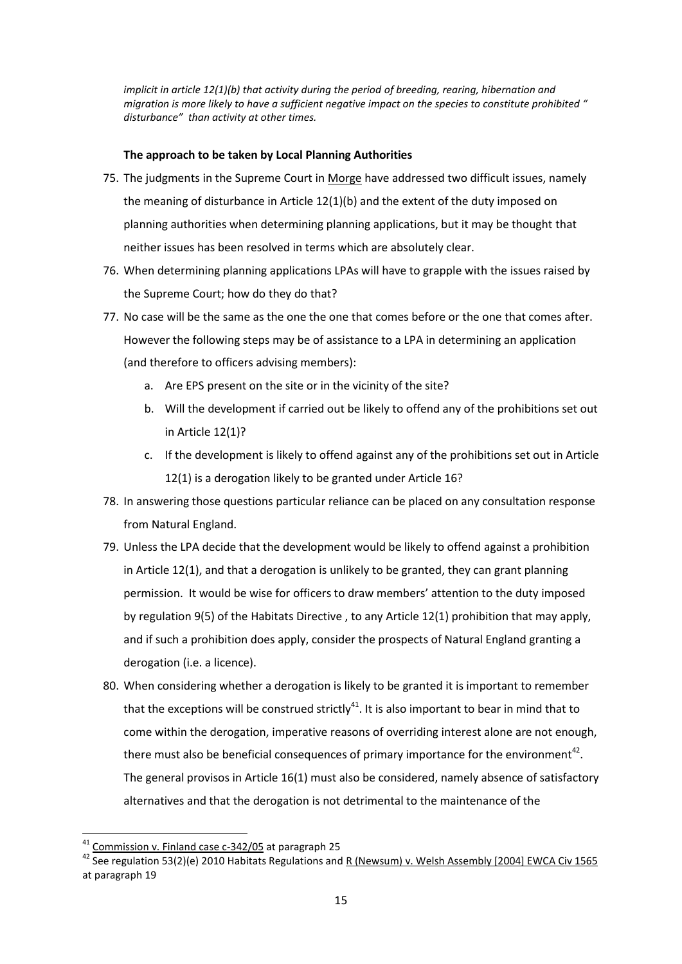*implicit in article 12(1)(b) that activity during the period of breeding, rearing, hibernation and migration is more likely to have a sufficient negative impact on the species to constitute prohibited " disturbance" than activity at other times.*

### **The approach to be taken by Local Planning Authorities**

- 75. The judgments in the Supreme Court in Morge have addressed two difficult issues, namely the meaning of disturbance in Article 12(1)(b) and the extent of the duty imposed on planning authorities when determining planning applications, but it may be thought that neither issues has been resolved in terms which are absolutely clear.
- 76. When determining planning applications LPAs will have to grapple with the issues raised by the Supreme Court; how do they do that?
- 77. No case will be the same as the one the one that comes before or the one that comes after. However the following steps may be of assistance to a LPA in determining an application (and therefore to officers advising members):
	- a. Are EPS present on the site or in the vicinity of the site?
	- b. Will the development if carried out be likely to offend any of the prohibitions set out in Article 12(1)?
	- c. If the development is likely to offend against any of the prohibitions set out in Article 12(1) is a derogation likely to be granted under Article 16?
- 78. In answering those questions particular reliance can be placed on any consultation response from Natural England.
- 79. Unless the LPA decide that the development would be likely to offend against a prohibition in Article 12(1), and that a derogation is unlikely to be granted, they can grant planning permission. It would be wise for officers to draw members' attention to the duty imposed by regulation 9(5) of the Habitats Directive , to any Article 12(1) prohibition that may apply, and if such a prohibition does apply, consider the prospects of Natural England granting a derogation (i.e. a licence).
- 80. When considering whether a derogation is likely to be granted it is important to remember that the exceptions will be construed strictly<sup>41</sup>. It is also important to bear in mind that to come within the derogation, imperative reasons of overriding interest alone are not enough, there must also be beneficial consequences of primary importance for the environment<sup>42</sup>. The general provisos in Article 16(1) must also be considered, namely absence of satisfactory alternatives and that the derogation is not detrimental to the maintenance of the

<sup>&</sup>lt;sup>41</sup> Commission v. Finland case c-342/05 at paragraph 25

<sup>&</sup>lt;sup>42</sup> See regulation 53(2)(e) 2010 Habitats Regulations and R (Newsum) v. Welsh Assembly [2004] EWCA Civ 1565 at paragraph 19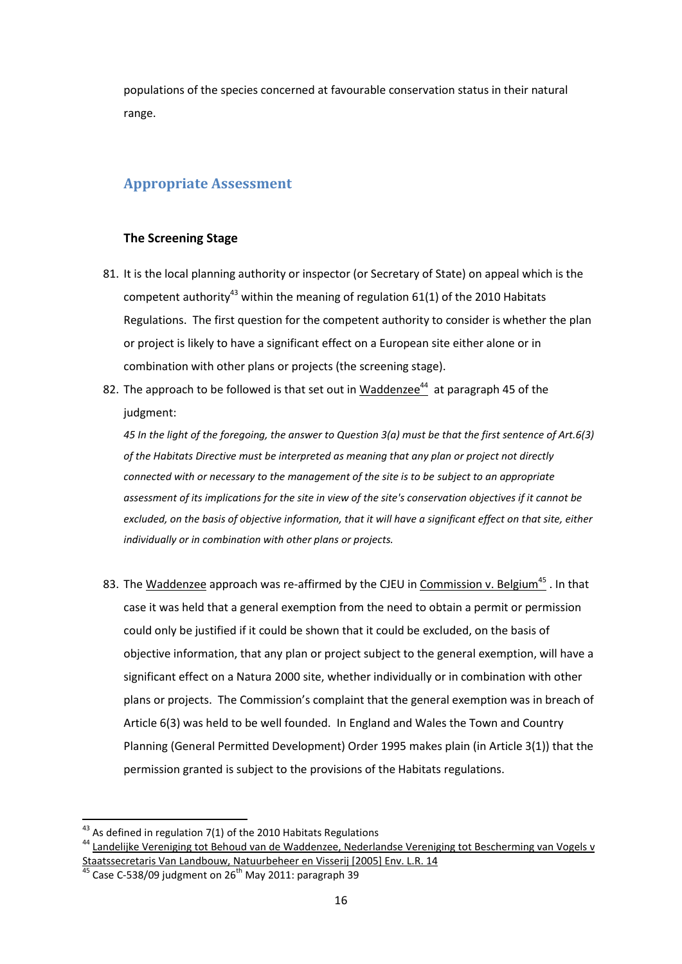populations of the species concerned at favourable conservation status in their natural range.

# **Appropriate Assessment**

### **The Screening Stage**

- 81. It is the local planning authority or inspector (or Secretary of State) on appeal which is the competent authority<sup>43</sup> within the meaning of regulation 61(1) of the 2010 Habitats Regulations. The first question for the competent authority to consider is whether the plan or project is likely to have a significant effect on a European site either alone or in combination with other plans or projects (the screening stage).
- 82. The approach to be followed is that set out in Waddenzee<sup>44</sup> at paragraph 45 of the judgment:

*45 In the light of the foregoing, the answer to Question 3(a) must be that the first sentence of Art.6(3) of the Habitats Directive must be interpreted as meaning that any plan or project not directly connected with or necessary to the management of the site is to be subject to an appropriate assessment of its implications for the site in view of the site's conservation objectives if it cannot be excluded, on the basis of objective information, that it will have a significant effect on that site, either individually or in combination with other plans or projects.*

83. The Waddenzee approach was re-affirmed by the CJEU in Commission v. Belgium<sup>45</sup>. In that case it was held that a general exemption from the need to obtain a permit or permission could only be justified if it could be shown that it could be excluded, on the basis of objective information, that any plan or project subject to the general exemption, will have a significant effect on a Natura 2000 site, whether individually or in combination with other plans or projects. The Commission's complaint that the general exemption was in breach of Article 6(3) was held to be well founded. In England and Wales the Town and Country Planning (General Permitted Development) Order 1995 makes plain (in Article 3(1)) that the permission granted is subject to the provisions of the Habitats regulations.

 $^{43}$  As defined in regulation 7(1) of the 2010 Habitats Regulations

<sup>&</sup>lt;sup>44</sup> Landelijke Vereniging tot Behoud van de Waddenzee, Nederlandse Vereniging tot Bescherming van Vogels v Staatssecretaris Van Landbouw, Natuurbeheer en Visserij [2005] Env. L.R. 14

 $45$  Case C-538/09 judgment on 26<sup>th</sup> May 2011: paragraph 39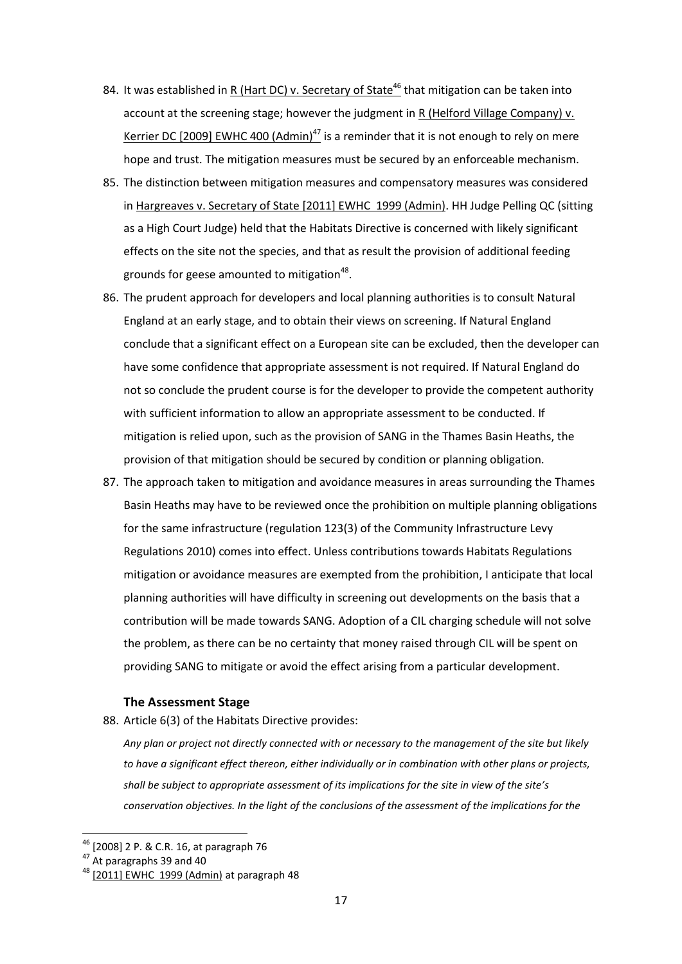- 84. It was established in R (Hart DC) v. Secretary of State<sup>46</sup> that mitigation can be taken into account at the screening stage; however the judgment in R (Helford Village Company) v. Kerrier DC [2009] EWHC 400 (Admin)<sup>47</sup> is a reminder that it is not enough to rely on mere hope and trust. The mitigation measures must be secured by an enforceable mechanism.
- 85. The distinction between mitigation measures and compensatory measures was considered in Hargreaves v. Secretary of State [2011] EWHC 1999 (Admin). HH Judge Pelling QC (sitting as a High Court Judge) held that the Habitats Directive is concerned with likely significant effects on the site not the species, and that as result the provision of additional feeding grounds for geese amounted to mitigation<sup>48</sup>.
- 86. The prudent approach for developers and local planning authorities is to consult Natural England at an early stage, and to obtain their views on screening. If Natural England conclude that a significant effect on a European site can be excluded, then the developer can have some confidence that appropriate assessment is not required. If Natural England do not so conclude the prudent course is for the developer to provide the competent authority with sufficient information to allow an appropriate assessment to be conducted. If mitigation is relied upon, such as the provision of SANG in the Thames Basin Heaths, the provision of that mitigation should be secured by condition or planning obligation.
- 87. The approach taken to mitigation and avoidance measures in areas surrounding the Thames Basin Heaths may have to be reviewed once the prohibition on multiple planning obligations for the same infrastructure (regulation 123(3) of the Community Infrastructure Levy Regulations 2010) comes into effect. Unless contributions towards Habitats Regulations mitigation or avoidance measures are exempted from the prohibition, I anticipate that local planning authorities will have difficulty in screening out developments on the basis that a contribution will be made towards SANG. Adoption of a CIL charging schedule will not solve the problem, as there can be no certainty that money raised through CIL will be spent on providing SANG to mitigate or avoid the effect arising from a particular development.

#### **The Assessment Stage**

88. Article 6(3) of the Habitats Directive provides:

*Any plan or project not directly connected with or necessary to the management of the site but likely to have a significant effect thereon, either individually or in combination with other plans or projects, shall be subject to appropriate assessment of its implications for the site in view of the site's conservation objectives. In the light of the conclusions of the assessment of the implications for the* 

<sup>&</sup>lt;sup>46</sup> [2008] 2 P. & C.R. 16, at paragraph 76

 $47$  At paragraphs 39 and 40

 $48$  [2011] EWHC 1999 (Admin) at paragraph 48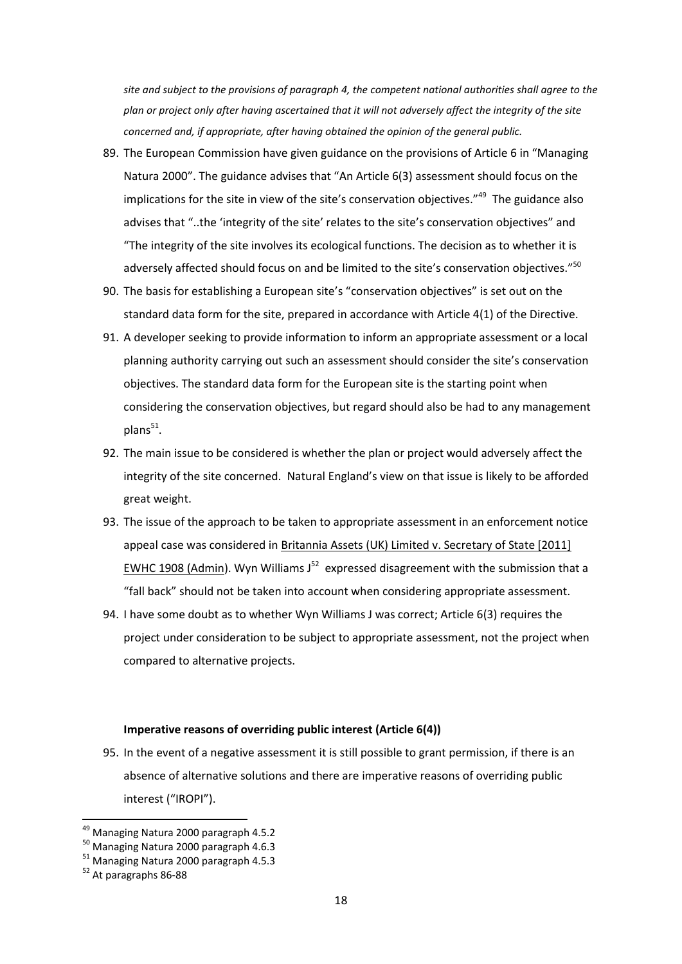*site and subject to the provisions of paragraph 4, the competent national authorities shall agree to the plan or project only after having ascertained that it will not adversely affect the integrity of the site concerned and, if appropriate, after having obtained the opinion of the general public.*

- 89. The European Commission have given guidance on the provisions of Article 6 in "Managing Natura 2000". The guidance advises that "An Article 6(3) assessment should focus on the implications for the site in view of the site's conservation objectives."<sup>49</sup> The guidance also advises that "..the 'integrity of the site' relates to the site's conservation objectives" and "The integrity of the site involves its ecological functions. The decision as to whether it is adversely affected should focus on and be limited to the site's conservation objectives."<sup>50</sup>
- 90. The basis for establishing a European site's "conservation objectives" is set out on the standard data form for the site, prepared in accordance with Article 4(1) of the Directive.
- 91. A developer seeking to provide information to inform an appropriate assessment or a local planning authority carrying out such an assessment should consider the site's conservation objectives. The standard data form for the European site is the starting point when considering the conservation objectives, but regard should also be had to any management plans $51$ .
- 92. The main issue to be considered is whether the plan or project would adversely affect the integrity of the site concerned. Natural England's view on that issue is likely to be afforded great weight.
- 93. The issue of the approach to be taken to appropriate assessment in an enforcement notice appeal case was considered in Britannia Assets (UK) Limited v. Secretary of State [2011] EWHC 1908 (Admin). Wyn Williams J $^{52}$  expressed disagreement with the submission that a "fall back" should not be taken into account when considering appropriate assessment.
- 94. I have some doubt as to whether Wyn Williams J was correct; Article 6(3) requires the project under consideration to be subject to appropriate assessment, not the project when compared to alternative projects.

#### **Imperative reasons of overriding public interest (Article 6(4))**

95. In the event of a negative assessment it is still possible to grant permission, if there is an absence of alternative solutions and there are imperative reasons of overriding public interest ("IROPI").

<sup>&</sup>lt;sup>49</sup> Managing Natura 2000 paragraph 4.5.2

<sup>50</sup> Managing Natura 2000 paragraph 4.6.3

<sup>51</sup> Managing Natura 2000 paragraph 4.5.3

<sup>52</sup> At paragraphs 86-88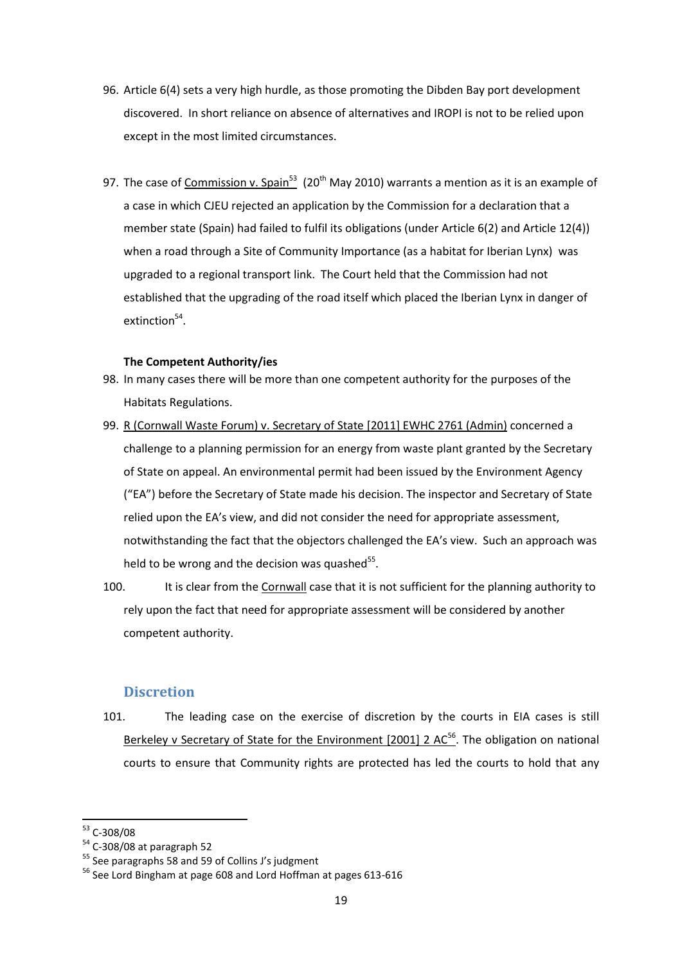- 96. Article 6(4) sets a very high hurdle, as those promoting the Dibden Bay port development discovered. In short reliance on absence of alternatives and IROPI is not to be relied upon except in the most limited circumstances.
- 97. The case of <u>Commission v. Spain<sup>53</sup></u> (20<sup>th</sup> May 2010) warrants a mention as it is an example of a case in which CJEU rejected an application by the Commission for a declaration that a member state (Spain) had failed to fulfil its obligations (under Article 6(2) and Article 12(4)) when a road through a Site of Community Importance (as a habitat for Iberian Lynx) was upgraded to a regional transport link. The Court held that the Commission had not established that the upgrading of the road itself which placed the Iberian Lynx in danger of extinction<sup>54</sup>.

#### **The Competent Authority/ies**

- 98. In many cases there will be more than one competent authority for the purposes of the Habitats Regulations.
- 99. R (Cornwall Waste Forum) v. Secretary of State [2011] EWHC 2761 (Admin) concerned a challenge to a planning permission for an energy from waste plant granted by the Secretary of State on appeal. An environmental permit had been issued by the Environment Agency ("EA") before the Secretary of State made his decision. The inspector and Secretary of State relied upon the EA's view, and did not consider the need for appropriate assessment, notwithstanding the fact that the objectors challenged the EA's view. Such an approach was held to be wrong and the decision was quashed $^{55}$ .
- 100. It is clear from the Cornwall case that it is not sufficient for the planning authority to rely upon the fact that need for appropriate assessment will be considered by another competent authority.

#### **Discretion**

101. The leading case on the exercise of discretion by the courts in EIA cases is still Berkeley v Secretary of State for the Environment [2001] 2  $AC^{56}$ . The obligation on national courts to ensure that Community rights are protected has led the courts to hold that any

<sup>&</sup>lt;sup>53</sup> C-308/08

<sup>54</sup> C-308/08 at paragraph 52

<sup>&</sup>lt;sup>55</sup> See paragraphs 58 and 59 of Collins J's judgment

<sup>&</sup>lt;sup>56</sup> See Lord Bingham at page 608 and Lord Hoffman at pages 613-616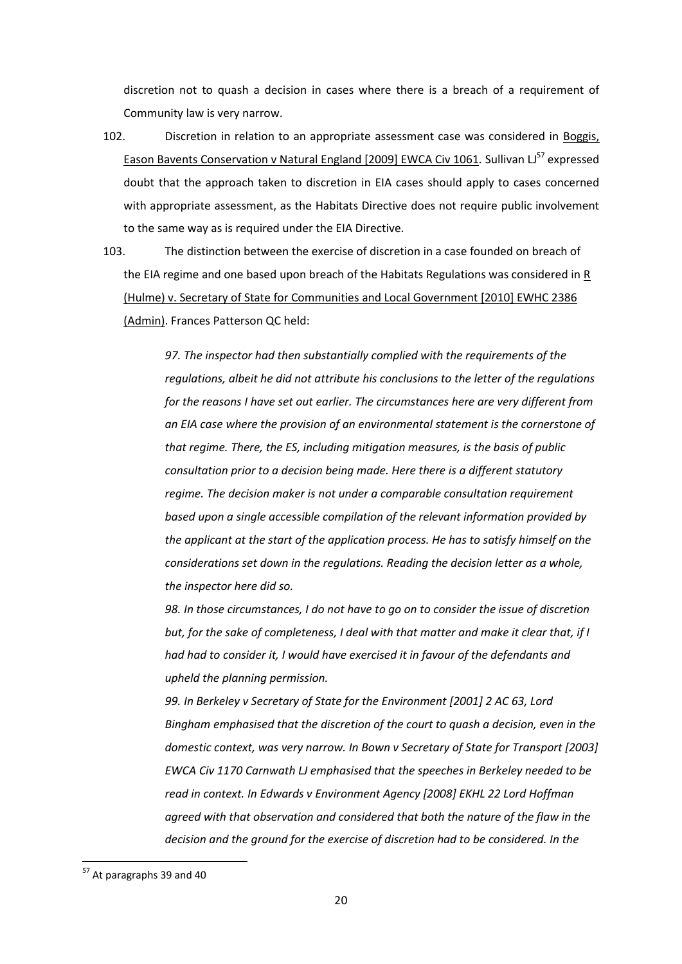discretion not to quash a decision in cases where there is a breach of a requirement of Community law is very narrow.

- 102. Discretion in relation to an appropriate assessment case was considered in Boggis, Eason Bavents Conservation v Natural England [2009] EWCA Civ 1061. Sullivan LJ<sup>57</sup> expressed doubt that the approach taken to discretion in EIA cases should apply to cases concerned with appropriate assessment, as the Habitats Directive does not require public involvement to the same way as is required under the EIA Directive.
- 103. The distinction between the exercise of discretion in a case founded on breach of the EIA regime and one based upon breach of the Habitats Regulations was considered in R (Hulme) v. Secretary of State for Communities and Local Government [2010] EWHC 2386 (Admin). Frances Patterson QC held:

*97. The inspector had then substantially complied with the requirements of the regulations, albeit he did not attribute his conclusions to the letter of the regulations for the reasons I have set out earlier. The circumstances here are very different from an EIA case where the provision of an environmental statement is the cornerstone of that regime. There, the ES, including mitigation measures, is the basis of public consultation prior to a decision being made. Here there is a different statutory regime. The decision maker is not under a comparable consultation requirement based upon a single accessible compilation of the relevant information provided by the applicant at the start of the application process. He has to satisfy himself on the considerations set down in the regulations. Reading the decision letter as a whole, the inspector here did so.*

*98. In those circumstances, I do not have to go on to consider the issue of discretion but, for the sake of completeness, I deal with that matter and make it clear that, if I had had to consider it, I would have exercised it in favour of the defendants and upheld the planning permission.*

*99. In Berkeley v Secretary of State for the Environment [2001] 2 AC 63, Lord Bingham emphasised that the discretion of the court to quash a decision, even in the domestic context, was very narrow. In Bown v Secretary of State for Transport [2003] EWCA Civ 1170 Carnwath LJ emphasised that the speeches in Berkeley needed to be read in context. In Edwards v Environment Agency [2008] EKHL 22 Lord Hoffman agreed with that observation and considered that both the nature of the flaw in the decision and the ground for the exercise of discretion had to be considered. In the* 

<sup>&</sup>lt;sup>57</sup> At paragraphs 39 and 40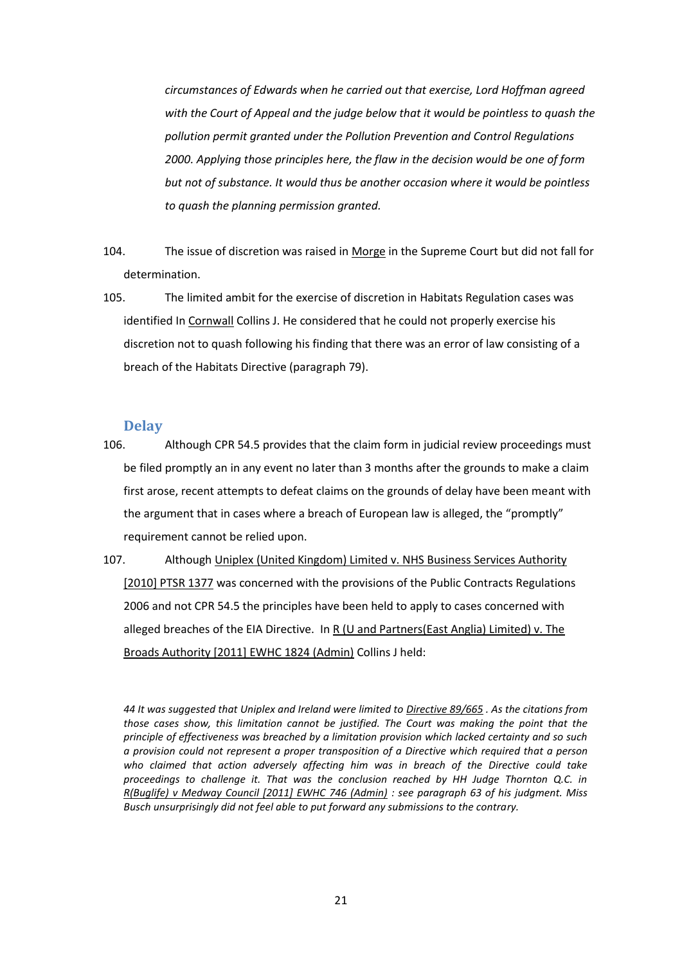*circumstances of Edwards when he carried out that exercise, Lord Hoffman agreed with the Court of Appeal and the judge below that it would be pointless to quash the pollution permit granted under the Pollution Prevention and Control Regulations 2000. Applying those principles here, the flaw in the decision would be one of form but not of substance. It would thus be another occasion where it would be pointless to quash the planning permission granted.*

- 104. The issue of discretion was raised in Morge in the Supreme Court but did not fall for determination.
- 105. The limited ambit for the exercise of discretion in Habitats Regulation cases was identified In Cornwall Collins J. He considered that he could not properly exercise his discretion not to quash following his finding that there was an error of law consisting of a breach of the Habitats Directive (paragraph 79).

#### **Delay**

- 106. Although CPR 54.5 provides that the claim form in judicial review proceedings must be filed promptly an in any event no later than 3 months after the grounds to make a claim first arose, recent attempts to defeat claims on the grounds of delay have been meant with the argument that in cases where a breach of European law is alleged, the "promptly" requirement cannot be relied upon.
- 107. Although Uniplex (United Kingdom) Limited v. NHS Business Services Authority [2010] PTSR 1377 was concerned with the provisions of the Public Contracts Regulations 2006 and not CPR 54.5 the principles have been held to apply to cases concerned with alleged breaches of the EIA Directive. In R (U and Partners(East Anglia) Limited) v. The Broads Authority [2011] EWHC 1824 (Admin) Collins J held:

*44 It was suggested that Uniplex and Ireland were limited to [Directive 89/665](http://login.westlaw.co.uk/maf/wluk/ext/app/document?crumb-action=reset&docguid=IFDC9206FC74647BB9D397C0278B1C293) . As the citations from those cases show, this limitation cannot be justified. The Court was making the point that the principle of effectiveness was breached by a limitation provision which lacked certainty and so such a provision could not represent a proper transposition of a Directive which required that a person who claimed that action adversely affecting him was in breach of the Directive could take proceedings to challenge it. That was the conclusion reached by HH Judge Thornton Q.C. in [R\(Buglife\) v Medway Council \[2011\] EWHC 746 \(Admin\)](http://login.westlaw.co.uk/maf/wluk/ext/app/document?crumb-action=reset&docguid=ICAC9D1E0840211E08F11E40FDBF80E2E) : see paragraph 63 of his judgment. Miss Busch unsurprisingly did not feel able to put forward any submissions to the contrary.*